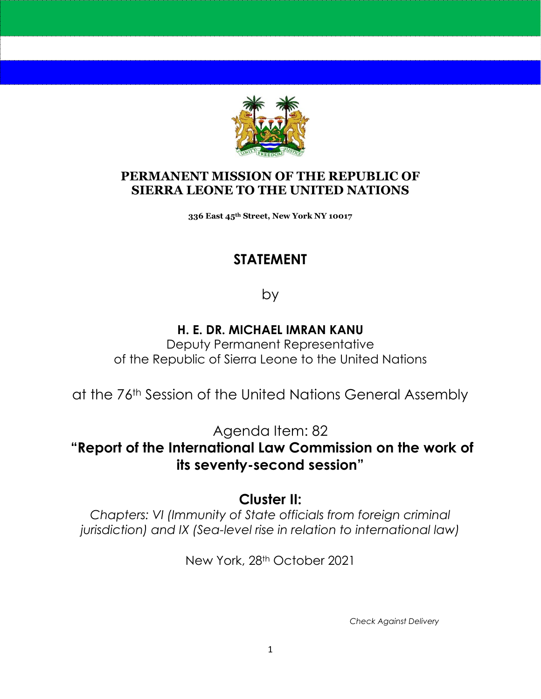

#### **PERMANENT MISSION OF THE REPUBLIC OF SIERRA LEONE TO THE UNITED NATIONS**

**336 East 45th Street, New York NY 10017**

## **STATEMENT**

by

#### **H. E. DR. MICHAEL IMRAN KANU**

Deputy Permanent Representative of the Republic of Sierra Leone to the United Nations

at the 76th Session of the United Nations General Assembly

Agenda Item: 82

**"Report of the International Law Commission on the work of its seventy-second session"** 

### **Cluster II:**

*Chapters: VI (Immunity of State officials from foreign criminal jurisdiction) and IX (Sea-level rise in relation to international law)* 

New York, 28th October 2021

*Check Against Delivery*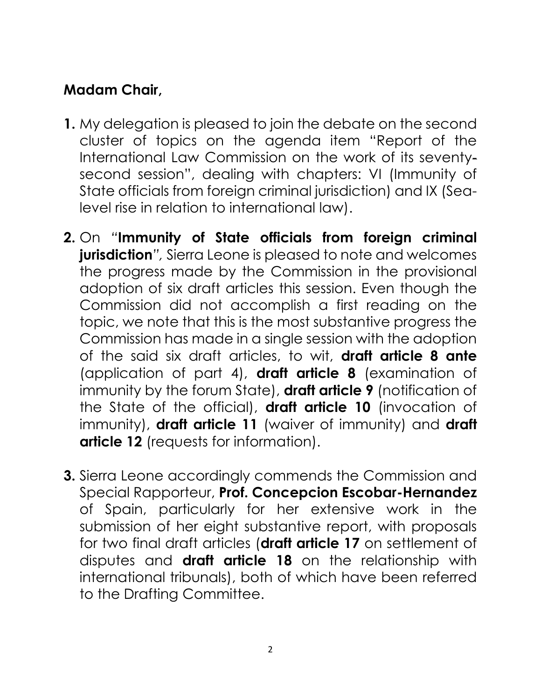# **Madam Chair,**

- **1.** My delegation is pleased to join the debate on the second cluster of topics on the agenda item "Report of the International Law Commission on the work of its seventysecond session", dealing with chapters: VI (Immunity of State officials from foreign criminal jurisdiction) and IX (Sealevel rise in relation to international law).
- **2.** On *"***Immunity of State officials from foreign criminal jurisdiction***",* Sierra Leone is pleased to note and welcomes the progress made by the Commission in the provisional adoption of six draft articles this session. Even though the Commission did not accomplish a first reading on the topic, we note that this is the most substantive progress the Commission has made in a single session with the adoption of the said six draft articles, to wit, **draft article 8 ante** (application of part 4), **draft article 8** (examination of immunity by the forum State), **draft article 9** (notification of the State of the official), **draft article 10** (invocation of immunity), **draft article 11** (waiver of immunity) and **draft article 12** (requests for information).
- **3.** Sierra Leone accordingly commends the Commission and Special Rapporteur, **Prof. Concepcion Escobar-Hernandez**  of Spain, particularly for her extensive work in the submission of her eight substantive report, with proposals for two final draft articles (**draft article 17** on settlement of disputes and **draft article 18** on the relationship with international tribunals), both of which have been referred to the Drafting Committee.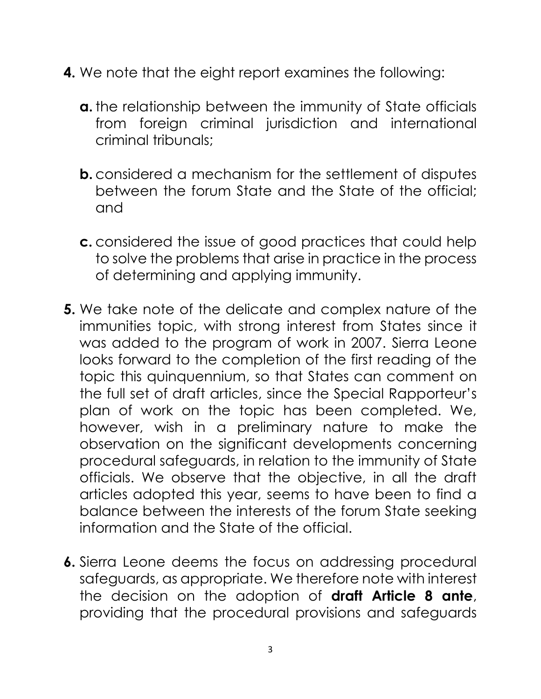- **4.** We note that the eight report examines the following:
	- **a.** the relationship between the immunity of State officials from foreign criminal jurisdiction and international criminal tribunals;
	- **b.** considered a mechanism for the settlement of disputes between the forum State and the State of the official; and
	- **c.** considered the issue of good practices that could help to solve the problems that arise in practice in the process of determining and applying immunity.
- **5.** We take note of the delicate and complex nature of the immunities topic, with strong interest from States since it was added to the program of work in 2007. Sierra Leone looks forward to the completion of the first reading of the topic this quinquennium, so that States can comment on the full set of draft articles, since the Special Rapporteur's plan of work on the topic has been completed. We, however, wish in a preliminary nature to make the observation on the significant developments concerning procedural safeguards, in relation to the immunity of State officials. We observe that the objective, in all the draft articles adopted this year, seems to have been to find a balance between the interests of the forum State seeking information and the State of the official.
- **6.** Sierra Leone deems the focus on addressing procedural safeguards, as appropriate. We therefore note with interest the decision on the adoption of **draft Article 8 ante**, providing that the procedural provisions and safeguards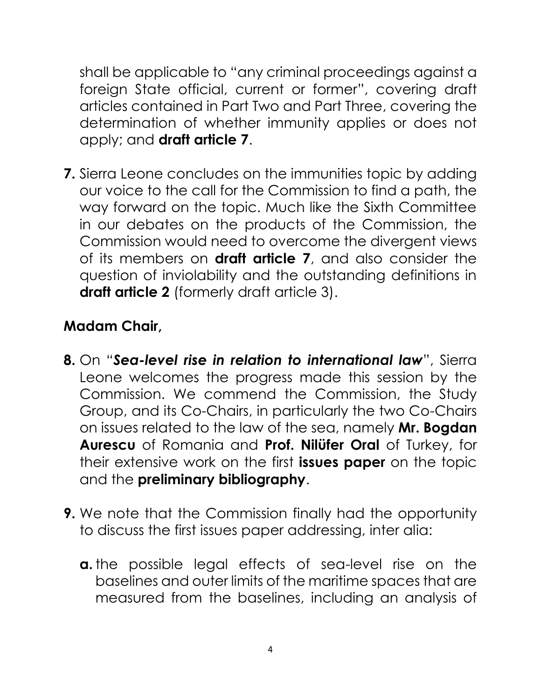shall be applicable to "any criminal proceedings against a foreign State official, current or former", covering draft articles contained in Part Two and Part Three, covering the determination of whether immunity applies or does not apply; and **draft article 7**.

**7.** Sierra Leone concludes on the immunities topic by adding our voice to the call for the Commission to find a path, the way forward on the topic. Much like the Sixth Committee in our debates on the products of the Commission, the Commission would need to overcome the divergent views of its members on **draft article 7**, and also consider the question of inviolability and the outstanding definitions in **draft article 2** (formerly draft article 3).

# **Madam Chair,**

- **8.** On "*Sea-level rise in relation to international law*", Sierra Leone welcomes the progress made this session by the Commission. We commend the Commission, the Study Group, and its Co-Chairs, in particularly the two Co-Chairs on issues related to the law of the sea, namely **Mr. Bogdan Aurescu** of Romania and **Prof. Nilüfer Oral** of Turkey, for their extensive work on the first **issues paper** on the topic and the **preliminary bibliography**.
- **9.** We note that the Commission finally had the opportunity to discuss the first issues paper addressing, inter alia:
	- **a.** the possible legal effects of sea-level rise on the baselines and outer limits of the maritime spaces that are measured from the baselines, including an analysis of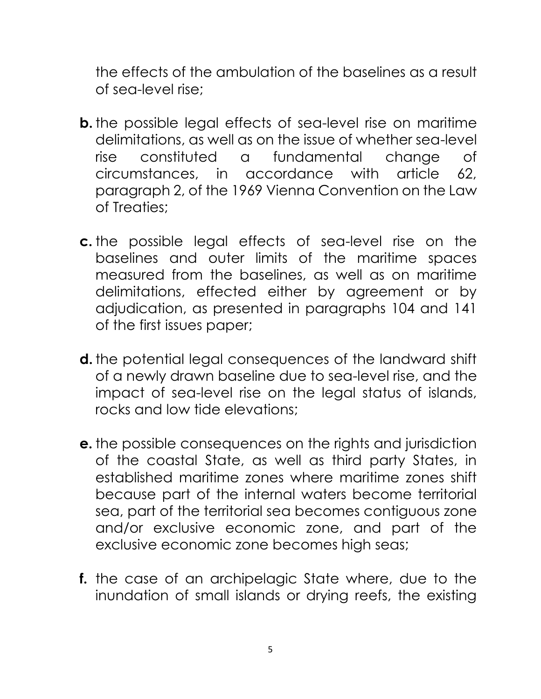the effects of the ambulation of the baselines as a result of sea-level rise;

- **b.** the possible legal effects of sea-level rise on maritime delimitations, as well as on the issue of whether sea-level rise constituted a fundamental change of circumstances, in accordance with article 62, paragraph 2, of the 1969 Vienna Convention on the Law of Treaties;
- **c.** the possible legal effects of sea-level rise on the baselines and outer limits of the maritime spaces measured from the baselines, as well as on maritime delimitations, effected either by agreement or by adjudication, as presented in paragraphs 104 and 141 of the first issues paper;
- **d.** the potential legal consequences of the landward shift of a newly drawn baseline due to sea-level rise, and the impact of sea-level rise on the legal status of islands, rocks and low tide elevations;
- **e.** the possible consequences on the rights and jurisdiction of the coastal State, as well as third party States, in established maritime zones where maritime zones shift because part of the internal waters become territorial sea, part of the territorial sea becomes contiguous zone and/or exclusive economic zone, and part of the exclusive economic zone becomes high seas;
- **f.** the case of an archipelagic State where, due to the inundation of small islands or drying reefs, the existing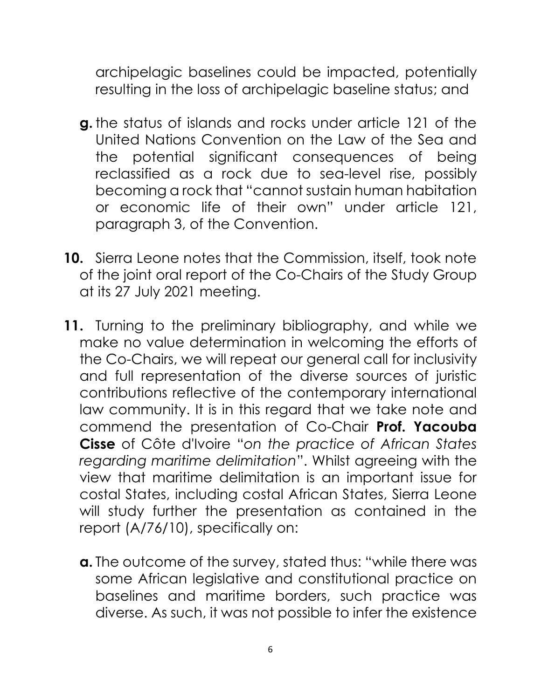archipelagic baselines could be impacted, potentially resulting in the loss of archipelagic baseline status; and

- **g.** the status of islands and rocks under article 121 of the United Nations Convention on the Law of the Sea and the potential significant consequences of being reclassified as a rock due to sea-level rise, possibly becoming a rock that "cannot sustain human habitation or economic life of their own" under article 121, paragraph 3, of the Convention.
- **10.** Sierra Leone notes that the Commission, itself, took note of the joint oral report of the Co-Chairs of the Study Group at its 27 July 2021 meeting.
- **11.** Turning to the preliminary bibliography, and while we make no value determination in welcoming the efforts of the Co-Chairs, we will repeat our general call for inclusivity and full representation of the diverse sources of juristic contributions reflective of the contemporary international law community. It is in this regard that we take note and commend the presentation of Co-Chair **Prof. Yacouba Cisse** of Côte d'Ivoire "*on the practice of African States regarding maritime delimitation*". Whilst agreeing with the view that maritime delimitation is an important issue for costal States, including costal African States, Sierra Leone will study further the presentation as contained in the report (A/76/10), specifically on:
	- **a.** The outcome of the survey, stated thus: "while there was some African legislative and constitutional practice on baselines and maritime borders, such practice was diverse. As such, it was not possible to infer the existence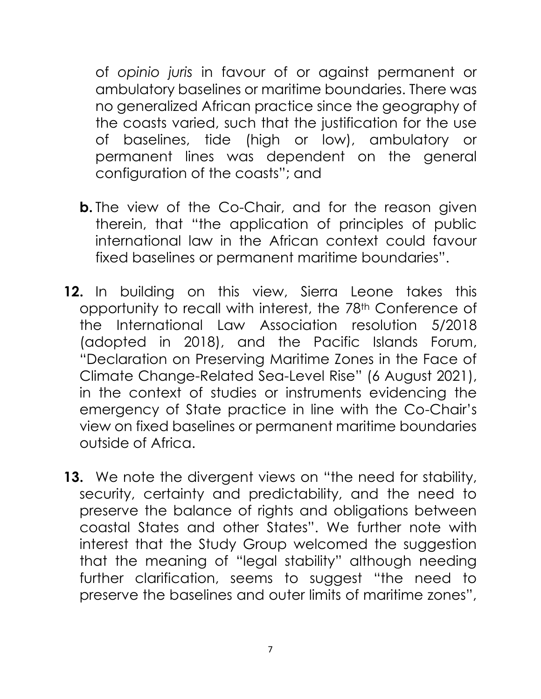of *opinio juris* in favour of or against permanent or ambulatory baselines or maritime boundaries. There was no generalized African practice since the geography of the coasts varied, such that the justification for the use of baselines, tide (high or low), ambulatory or permanent lines was dependent on the general configuration of the coasts"; and

- **b.** The view of the Co-Chair, and for the reason given therein, that "the application of principles of public international law in the African context could favour fixed baselines or permanent maritime boundaries".
- **12.** In building on this view, Sierra Leone takes this opportunity to recall with interest, the 78<sup>th</sup> Conference of the International Law Association resolution 5/2018 (adopted in 2018), and the Pacific Islands Forum, "Declaration on Preserving Maritime Zones in the Face of Climate Change-Related Sea-Level Rise" (6 August 2021), in the context of studies or instruments evidencing the emergency of State practice in line with the Co-Chair's view on fixed baselines or permanent maritime boundaries outside of Africa.
- **13.** We note the divergent views on "the need for stability, security, certainty and predictability, and the need to preserve the balance of rights and obligations between coastal States and other States". We further note with interest that the Study Group welcomed the suggestion that the meaning of "legal stability" although needing further clarification, seems to suggest "the need to preserve the baselines and outer limits of maritime zones",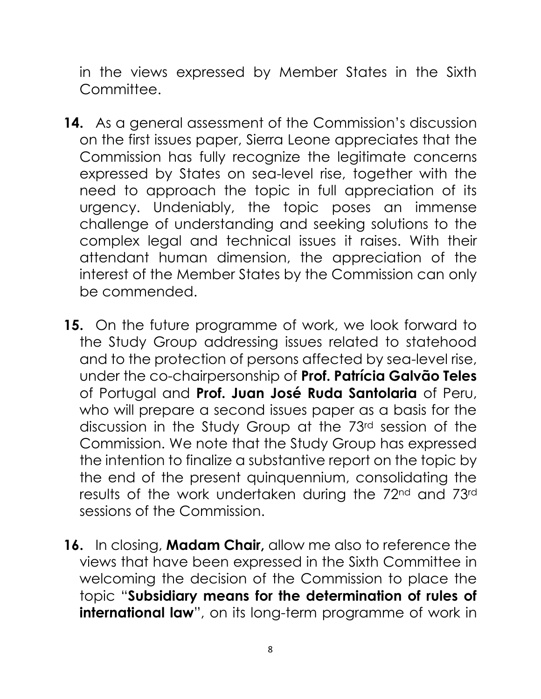in the views expressed by Member States in the Sixth Committee.

- **14.** As a general assessment of the Commission's discussion on the first issues paper, Sierra Leone appreciates that the Commission has fully recognize the legitimate concerns expressed by States on sea-level rise, together with the need to approach the topic in full appreciation of its urgency. Undeniably, the topic poses an immense challenge of understanding and seeking solutions to the complex legal and technical issues it raises. With their attendant human dimension, the appreciation of the interest of the Member States by the Commission can only be commended.
- **15.** On the future programme of work, we look forward to the Study Group addressing issues related to statehood and to the protection of persons affected by sea-level rise, under the co-chairpersonship of **Prof. Patrícia Galvão Teles** of Portugal and **Prof. Juan José Ruda Santolaria** of Peru, who will prepare a second issues paper as a basis for the discussion in the Study Group at the 73rd session of the Commission. We note that the Study Group has expressed the intention to finalize a substantive report on the topic by the end of the present quinquennium, consolidating the results of the work undertaken during the 72nd and 73rd sessions of the Commission.
- **16.** In closing, **Madam Chair,** allow me also to reference the views that have been expressed in the Sixth Committee in welcoming the decision of the Commission to place the topic "**Subsidiary means for the determination of rules of international law**", on its long-term programme of work in